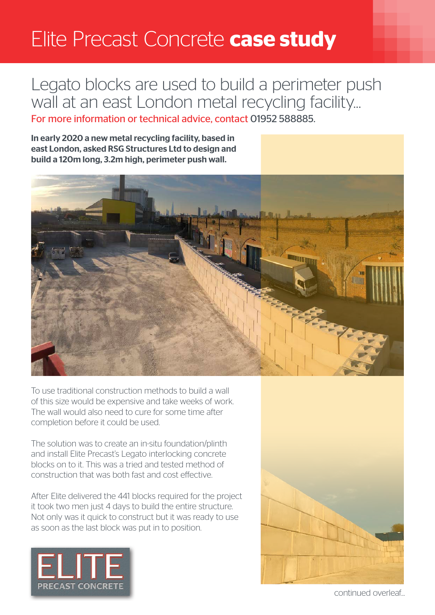## Elite Precast Concrete **case study**

## Legato blocks are used to build a perimeter push wall at an east London metal recycling facility...

For more information or technical advice, contact 01952 588885.

In early 2020 a new metal recycling facility, based in east London, asked RSG Structures Ltd to design and build a 120m long, 3.2m high, perimeter push wall.



To use traditional construction methods to build a wall of this size would be expensive and take weeks of work. The wall would also need to cure for some time after completion before it could be used.

The solution was to create an in-situ foundation/plinth and install Elite Precast's Legato interlocking concrete blocks on to it. This was a tried and tested method of construction that was both fast and cost effective.

After Elite delivered the 441 blocks required for the project it took two men just 4 days to build the entire structure. Not only was it quick to construct but it was ready to use as soon as the last block was put in to position.





continued overleaf...